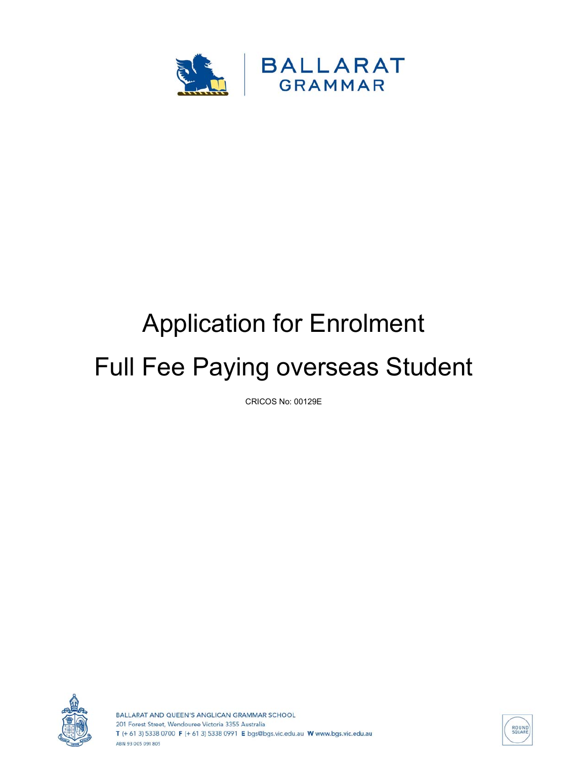

## Application for Enrolment Full Fee Paying overseas Student

CRICOS No: 00129E



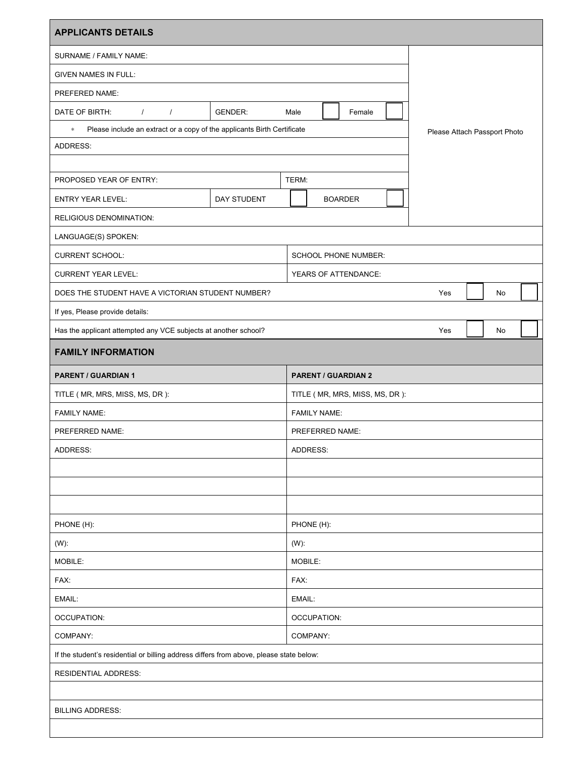| <b>APPLICANTS DETAILS</b>                                                               |                |         |                                  |                             |     |                              |    |    |  |  |  |
|-----------------------------------------------------------------------------------------|----------------|---------|----------------------------------|-----------------------------|-----|------------------------------|----|----|--|--|--|
| SURNAME / FAMILY NAME:                                                                  |                |         |                                  |                             |     |                              |    |    |  |  |  |
| <b>GIVEN NAMES IN FULL:</b>                                                             |                |         |                                  |                             |     |                              |    |    |  |  |  |
| PREFERED NAME:                                                                          |                |         |                                  |                             |     |                              |    |    |  |  |  |
| DATE OF BIRTH:<br>$\prime$<br>$\prime$                                                  | <b>GENDER:</b> | Male    |                                  | Female                      |     |                              |    |    |  |  |  |
| Please include an extract or a copy of the applicants Birth Certificate<br>$\approx$    |                |         |                                  |                             |     | Please Attach Passport Photo |    |    |  |  |  |
| ADDRESS:                                                                                |                |         |                                  |                             |     |                              |    |    |  |  |  |
|                                                                                         |                |         |                                  |                             |     |                              |    |    |  |  |  |
| PROPOSED YEAR OF ENTRY:                                                                 |                | TERM:   |                                  |                             |     |                              |    |    |  |  |  |
| <b>ENTRY YEAR LEVEL:</b>                                                                | DAY STUDENT    |         |                                  | <b>BOARDER</b>              |     |                              |    |    |  |  |  |
| RELIGIOUS DENOMINATION:                                                                 |                |         |                                  |                             |     |                              |    |    |  |  |  |
| LANGUAGE(S) SPOKEN:                                                                     |                |         |                                  |                             |     |                              |    |    |  |  |  |
| <b>CURRENT SCHOOL:</b>                                                                  |                |         |                                  | <b>SCHOOL PHONE NUMBER:</b> |     |                              |    |    |  |  |  |
| <b>CURRENT YEAR LEVEL:</b>                                                              |                |         | YEARS OF ATTENDANCE:             |                             |     |                              |    |    |  |  |  |
| DOES THE STUDENT HAVE A VICTORIAN STUDENT NUMBER?                                       |                |         |                                  |                             |     | Yes                          |    | No |  |  |  |
| If yes, Please provide details:                                                         |                |         |                                  |                             |     |                              |    |    |  |  |  |
| Has the applicant attempted any VCE subjects at another school?                         |                |         |                                  |                             | Yes |                              | No |    |  |  |  |
| <b>FAMILY INFORMATION</b>                                                               |                |         |                                  |                             |     |                              |    |    |  |  |  |
| <b>PARENT / GUARDIAN 1</b>                                                              |                |         | <b>PARENT / GUARDIAN 2</b>       |                             |     |                              |    |    |  |  |  |
| TITLE ( MR, MRS, MISS, MS, DR ):                                                        |                |         | TITLE ( MR, MRS, MISS, MS, DR ): |                             |     |                              |    |    |  |  |  |
| <b>FAMILY NAME:</b>                                                                     |                |         | <b>FAMILY NAME:</b>              |                             |     |                              |    |    |  |  |  |
| PREFERRED NAME:                                                                         |                |         | PREFERRED NAME:                  |                             |     |                              |    |    |  |  |  |
| ADDRESS:                                                                                |                |         | ADDRESS:                         |                             |     |                              |    |    |  |  |  |
|                                                                                         |                |         |                                  |                             |     |                              |    |    |  |  |  |
|                                                                                         |                |         |                                  |                             |     |                              |    |    |  |  |  |
|                                                                                         |                |         |                                  |                             |     |                              |    |    |  |  |  |
| PHONE (H):                                                                              |                |         | PHONE (H):                       |                             |     |                              |    |    |  |  |  |
| $(W)$ :                                                                                 |                | $(W)$ : |                                  |                             |     |                              |    |    |  |  |  |
| MOBILE:                                                                                 |                |         | MOBILE:                          |                             |     |                              |    |    |  |  |  |
| FAX:                                                                                    |                |         | FAX:                             |                             |     |                              |    |    |  |  |  |
| EMAIL:                                                                                  |                |         | EMAIL:                           |                             |     |                              |    |    |  |  |  |
| <b>OCCUPATION:</b>                                                                      |                |         | <b>OCCUPATION:</b>               |                             |     |                              |    |    |  |  |  |
| COMPANY:                                                                                |                |         | COMPANY:                         |                             |     |                              |    |    |  |  |  |
| If the student's residential or billing address differs from above, please state below: |                |         |                                  |                             |     |                              |    |    |  |  |  |
| RESIDENTIAL ADDRESS:                                                                    |                |         |                                  |                             |     |                              |    |    |  |  |  |
|                                                                                         |                |         |                                  |                             |     |                              |    |    |  |  |  |
| <b>BILLING ADDRESS:</b>                                                                 |                |         |                                  |                             |     |                              |    |    |  |  |  |
|                                                                                         |                |         |                                  |                             |     |                              |    |    |  |  |  |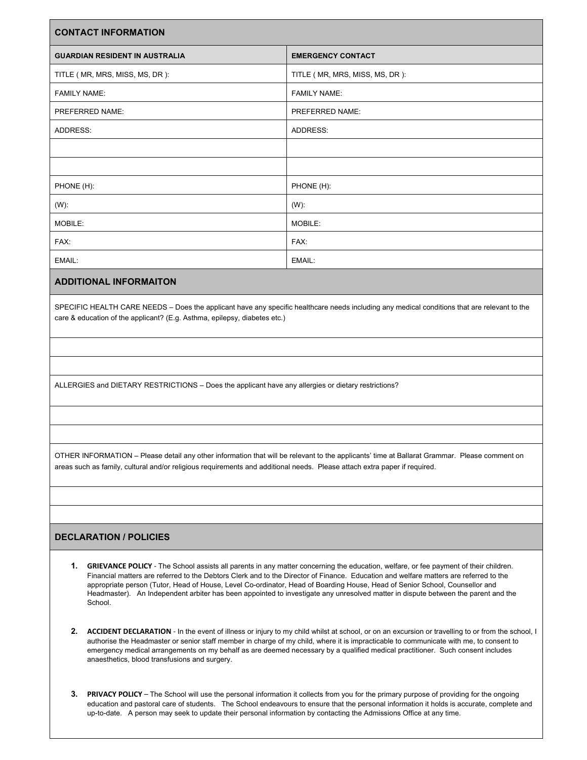| <b>CONTACT INFORMATION</b>            |                                  |  |  |  |  |  |
|---------------------------------------|----------------------------------|--|--|--|--|--|
| <b>GUARDIAN RESIDENT IN AUSTRALIA</b> | <b>EMERGENCY CONTACT</b>         |  |  |  |  |  |
| TITLE ( MR, MRS, MISS, MS, DR ):      | TITLE ( MR, MRS, MISS, MS, DR ): |  |  |  |  |  |
| <b>FAMILY NAME:</b>                   | <b>FAMILY NAME:</b>              |  |  |  |  |  |
| PREFERRED NAME:                       | PREFERRED NAME:                  |  |  |  |  |  |
| ADDRESS:                              | ADDRESS:                         |  |  |  |  |  |
|                                       |                                  |  |  |  |  |  |
|                                       |                                  |  |  |  |  |  |
| PHONE (H):                            | PHONE (H):                       |  |  |  |  |  |
| $(W)$ :                               | $(W)$ :                          |  |  |  |  |  |
| MOBILE:                               | MOBILE:                          |  |  |  |  |  |
| FAX:                                  | FAX:                             |  |  |  |  |  |
| EMAIL:                                | EMAIL:                           |  |  |  |  |  |

## **ADDITIONAL INFORMAITON**

SPECIFIC HEALTH CARE NEEDS – Does the applicant have any specific healthcare needs including any medical conditions that are relevant to the care & education of the applicant? (E.g. Asthma, epilepsy, diabetes etc.)

ALLERGIES and DIETARY RESTRICTIONS – Does the applicant have any allergies or dietary restrictions?

OTHER INFORMATION – Please detail any other information that will be relevant to the applicants' time at Ballarat Grammar. Please comment on areas such as family, cultural and/or religious requirements and additional needs. Please attach extra paper if required.

## **DECLARATION / POLICIES**

- **1. GRIEVANCE POLICY**  The School assists all parents in any matter concerning the education, welfare, or fee payment of their children. Financial matters are referred to the Debtors Clerk and to the Director of Finance. Education and welfare matters are referred to the appropriate person (Tutor, Head of House, Level Co-ordinator, Head of Boarding House, Head of Senior School, Counsellor and Headmaster). An Independent arbiter has been appointed to investigate any unresolved matter in dispute between the parent and the School.
- **2. ACCIDENT DECLARATION**  In the event of illness or injury to my child whilst at school, or on an excursion or travelling to or from the school, I authorise the Headmaster or senior staff member in charge of my child, where it is impracticable to communicate with me, to consent to emergency medical arrangements on my behalf as are deemed necessary by a qualified medical practitioner. Such consent includes anaesthetics, blood transfusions and surgery.
- **3. PRIVACY POLICY** The School will use the personal information it collects from you for the primary purpose of providing for the ongoing education and pastoral care of students. The School endeavours to ensure that the personal information it holds is accurate, complete and up-to-date. A person may seek to update their personal information by contacting the Admissions Office at any time.